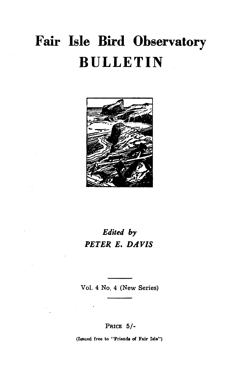# **Fair Isle Bird Observatory BULLETIN**



## *Edited by PETER E. DAVIS*

Vol. 4 No. 4 (New Series)

PRICE 5/-

(Issued free to "Frienda of Fair Isle")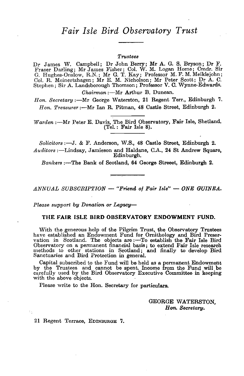#### *Trustee8*

Dr James W. Campbell; Dr John Berry; Mr A. G. S. Bryson; Dr F. Fraser Darling; Mr James Fisher; Col. W. M. Logan Home; Cmdr. Sir G. Hughes-Onslow, RN.; Mr G. T. Kay; Professor M. F. M. Meiklejohn; Col. R. Meinertzhagen; Mr E. M. Nicholson; Mr Peter Scott; Dr A. C. Stephen; Sir A. Landsborough Thomson; Professor V. C. Wynne-Edwards.

*Chairman* :- Mr Arthur B. Duncan.

*Hon. Secretary:-Mr* George Waterston, 21 Regent Terr., Edinburgh 7. Hon. Treasurer :- Mr Ian R. Pitman, 48 Castle Street, Edinburgh 2.

*Warden* :- Mr Peter E. Davis, The Bird Observatory, Fair Isle, Shetland. (Tel.: Fair Isle 8).

*Solicitors* :-J. & F. Anderson, W.S., 48 Castle Street. Edinburgh 2. *Auditors* :-Lindsay, Jamieson and Haldane, C.A., 24 St Andrew Square, Edinburgh.

*Bankers* :-The Bank of Scotland, 64 George Streeet, Edinburgh 2.

*ANNUAL SUBSORIPTION* - *"Friend of Fair Isle"* - *ONE GUINEA.* 

*Please 8upport by Donation or Legacy-*

#### **THE FAIR ISLE BIRD OBSERVATORY ENDOWMENT FUND.**

With the generous help of the Pilgrim Trust, the Observatory Trustees have established an Endowment Fund for Ornithology and Bird Preservation in Scotland. The objects are :- To establish the Fair Isle Bird Observatory on a permanent financial basis; to extend Fair Isle research methods to other stations in Scotland; and finally to develop Bird Sanctuaries and Bird Protection in general.

Capital subscribed to the Fund will be held as a permanent Endowment by the Trustees and cannot be spent. Income from the Fund will be carefully used by the Bird Observatory Executive Committee in keeping with the above objects.

Please write to the Hon. Secretary for particulars.

GEORGE WATERSTON, *Hon. Secretary.* 

21 Regent Terrace, EDINBURGH 7.

÷.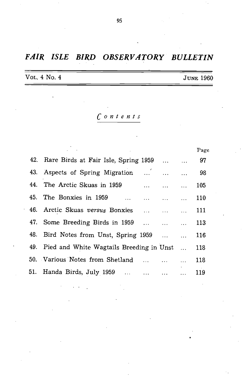## *FAIR ISLE BIRD OBSERVATORY BULLETIN*

VOL. 4 No. 4 JUNE 1960

*Contents* 

|                                               | Page |
|-----------------------------------------------|------|
| 42. Rare Birds at Fair Isle, Spring 1959   97 |      |
| 43. Aspects of Spring Migration               | 98   |
| 44. The Arctic Skuas in 1959                  | 105  |
| 45. The Bonxies in 1959                       | 110  |
| 46. Arctic Skuas versus Bonxies               | 111  |
| 47. Some Breeding Birds in 1959               | 113  |
| 48. Bird Notes from Unst, Spring 1959         | 116  |
| 49. Pied and White Wagtails Breeding in Unst  | 118  |
| 50. Various Notes from Shetland               | 118  |
| 51. Handa Birds, July 1959     119            |      |
|                                               |      |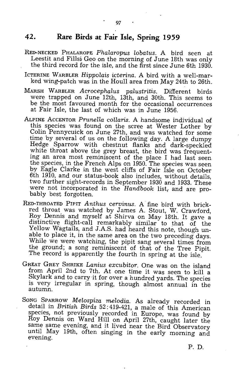### **42. Rare Birds at Fair Isle, Spring 1959**

- RED-NECKED PHALAROPE *P'halaropus lobatus.* A bird seen at Leestit and Fillsi Geo on the morning of June 18th was only the third record for the isle, and the first since June 6th 1930.
- ICTERINE WARBLER *Hippolais icterina.* A bird with a well-marked wing-patch was in the Houll area from May 24th to 26th.
- MARSH WARBLER *Acrocephalus palustritis.* Different birds were trapped on June 12th, 13th, and 30th. This seems to be the most favoured month for the occasional occurrences at Fair Isle, the last of which was in June 1956.
- ALPINE ACCENTOR Prunella collaris. A handsome individual of this species was found on the scree at Wester Lather by Colin Pennycuick on June 27th, and was watched for some time by several of us on the following day. A large dumpy Hedge Sparrow with chestnut flanks and dark-speckled white throat above the grey breast, the bird was frequenting an area most reminiscent of the place I had last seen the species, in the French Alps on 1950. The species was seen by Eagle Clarke in the west cliffs of Fair Isle on October 6th 1910, and our status-book also includes, without details, two further sight-records in September 1930 and 1933. These were not incorporated in the *Handbook* list; and are probably best forgotten.
- RED-THROATED PIPIT *Anthus cervinus.* A fine bird with brickred throat was watched by James A. Stout, W. Crawford, Roy Dennis and myself at Shirva on May 18th. It gave a distinctive flight-call remarkably similar to that  $\overline{of}$  the Yellow Wagtails, and J.A.S. had heard this note, though unable to place it, in the same area on the two preceding days. While we were watching, the pipit sang several times from the ground; a song reminiscent of that of the Tree Pipit. The record is apparently the fourth in spring at the isle.
- GREAT GREY SHRIKE *Lanius excubitor.* One was on the island from April 2nd to 7th. At one time it was seen to kill a Skylark and to carry-it for over a hundred yards. The species is very irregular in spring, though almost annual in the autumn.
- SONG SPARROW *Melospiza melodia.* As already recorded in detail in *British Birds* 52: 419-421, a male of this American species, not previously recorded in Europe, was found by Roy Dennis on Ward Hill on April 27th, caught later the same same evening, and it lived near the Bird Observatory until. May 19th, often singing in the early morning and evening.

P. D.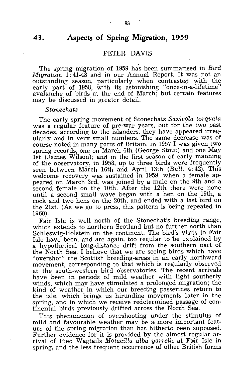## **43. Aspects of Spring Migration, 1959**

#### PETER DAVIS

The spring migration of 1959 has been summarised in *Bird Migration* 1: 41-43 and in our Annual Report. It was not an outstanding season, particularly when contrasted with the early part of 1958, with its astonishing "once-in-a-lifetime" avalanche of 'birds at the end of March; but certain features may be discussed in greater detail.

*Stonechats* 

The early spring movement of Stonechats *Saxicola torquata*  was a regular feature of pre-war years, but for the two past decades, according to the islanders, they have appeared irregularly and in very small numbers. The same decrease was of course noted in many parts of Britain. In 1957 I was given two spring records, one on March 6th (George Stout) and one May 1st (James Wilson); and in the first season of early manning of the observatory, in 1958, up to three birds were frequently seen between March 16th and April 13th (Bull. 4:42). This welcome recovery was sustained in 1959, when a female appeared on March 3rd, was joined by a male on the 9th and a second female on the 10th. After the 12th there were none until a second small wave began with a hen on the 19th, a cock and two hens on the 20th, and ended with a last bird on the 21st. (As we go to press, this pattern is being repeated in 1960).

Fair Isle is well north of the Stonechat's breeding range, which extends to northern Scotland but no further north than Schleswig-Holstein on the continent. The bird's visits to Fair Isle have been, and are again, too regular to be explained by a hypothetical long-distance drift from the southern part of the North Sea. I believe that we are seeing birds which have "overshot" the Scottish breeding-areas in an early northward movement, corresponding to that which is regularly observed at the south-western bird observatories. The recent arrivals have been in periods of mild weather with light southerly winds, which may have stimulated a prolonged migration; the kind of weather in which our breeding passerines return to the isle, which brings us hirundine movements later in the spring, and in which we receive redetermined passage of continental birds previously drifted across the North Sea.

This phenomenon of overshooting under the stimulus of mild and favourable weather mav be a more important feature of the spring migration than has hitherto been supposed. Further evidence for it is provided by the almost regular arrival of Pied Wagtails Motacilla alba yarrelli at Fair Isle in spring, and the less frequent occurrence of other British forms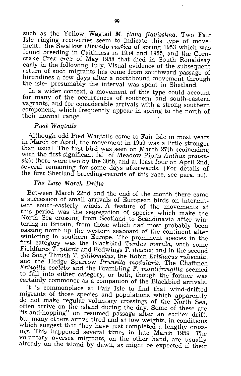such as the Y ellow Wagtail M. *flava flavissima.* Two Fair Isle ringing recoveries seem to indicate this type of movement: the Swallow *Hirundo rustica* of spring 1953 which was found breeding in Caithness in 1954 and 1955, and the Corncrake *Crex crex* of May 1958 that died in South Ronaldsay early in the following July. Visual evidence of the subsequent return of such migrants has come from southward passage of hirundines a few days after a northbound movement through the isle-presumably the interval was spent in Shetland.

In a wider context, a movement of this type could account for many of the occurrences of southern and south-eastern vagrants, and for considerable arrivals with a strong southern component, which frequently appear in spring to the north of their normal range.

#### Pied Wagtails

Although odd Pied Wagtails come to Fair Isle in most years in March or April, the movement in 1959 was a little stronger than usual. The first bird was seen on March 27th (coinciding with the first significant fall of Meadow Pipits *Anthus pratensis);* there were two by the 30th, and at least four on April 2nd, several remaining for some days afterwards. (For details of the first Shetland breeding-records of this race, see para. 50).

#### *The Late March Drifts*

Between March 22nd and the end of the month there came a succession of small arrivals of European birds on intermittent south-easterly winds. A feature of the movements at this period was the segregation of species which make the North Sea crossing from Scotland to Scandinavia after wintering in Britain, from those which had most probably been passing north up the western seaboard of the continent after wintering in southern Europe. The prominent species in the first category was the Blackbird *Turdus merula,* with some Fieldfares *T. pilaris* and Redwings *T. iliacus;* and in the second the Song Thrush *T. philomelus,* the Robin *Erithacus rubecula,*  and the Hedge Sparrow Prunella modularis. The Chaffinch *Fringilla coelebs* and the Brambling F. *montifringilla* seemed to fall into either category, or both, though the former was certainly commoner as a companion of the Blackbird arrivals.

It is commonplace at Fair Isle to find that wind-drifted migrants of those species and populations which apparently do not make regular voluntary crossings of the North Sea, often arrive on the island during the day. Some of these are "island-hopping" on resumed passage after an earlier drift, but many others arrive tired and at low weights, in conditions which suggest that they have just completed a lengthy crossing. This happened several times in late March 1959. The voluntary oversea migrants, on the other hand, are usually already on the island by dawn, as might be expected if their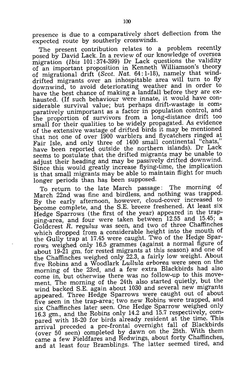presence is due to a comparatively short deflection from the expected route by southerly crosswinds.

The present contribution relates to a problem recently posed by David Lack. In a review of our knowledge of oversea migration *(Ibis* 101: 374-399) Dr Lack questions the validity of an important proposition in Kenneth Williamson's theory of migrational drift (Scot. Nat. 64: 1-18), namely that winddrifted migrants over an inhospitable area will turn to fly downwind, to avoid deteriorating weather and in order to have the best chance of making a landfall before they are exhausted. (If such behaviour were innate, it would have considerable survival value; but perhaps drift-wastage is comparatively unimportant as a factor in population control, and the proportion of survivors from a long-distance drift too small for their qualities to be widely propagated. As evidence of the extensive wastage of drifted birds it may be mentioned that not one of over 1900 warblers and flycatchers ringed at Fair Isle, and only three of 1400 small continental "chats," have been reported outside the northern islands). Dr Lack seems to postulate that the drifted migrants may be unable to adjust their heading and may be passively drifted downwind. Since this would greatly increase flying-time, the implication is that small migrants may be able to maintain flight for much longer periods than has been supposed.

To return to the late March passage: The morning of March 22nd was fine and birdless, and nothing was trapped. By the early afternoon, however, cloud-cover increased to become complete, and the S.E. breeze freshened. At least six Hedge Sparrows (the first of the year) appeared in the trapping-area, and four were taken between 12.55 and 15.45; a Goldcrest R. *regulus* was seen, and two of three Chaffinches which dropped from a considerable height into the mouth of the Gully trap at 17.45 were caught. Two of the Hedge Sparrows weighed only 16.5 grammes (against a normal figure of about 19-21 gm. for rested migrants at this season) and one of the Chaffinches weighed only 22.3, a fairly low weight. About five Robins and a Woodlark *LulluLa arborea* were seen on the morning of the 23rd, and a few extra Blackbirds had also come in, but otherwise there was no follow-up to this movement. The morning of the 24th also started quietly, but the wind backed S.E. again about 1030 and several new migrants appeared. Three Hedge Sparrows were caught out of about five seen in the trap-area; two new Robins were trapped, and six Chaffinches later seen. One Hedge Sparrow weighed only 16.3 gm., and the Robins only 14.2 and 15.7 respectively, compared with 18-20 for birds already resident at the time. This arrival preceded a pre-frontal overnight fall of Blackbirds (over 50 seen) completed by dawn on the 25th. With them came a few Fieldfares and Redwings, about forty Chaffinches, and at least four Bramblings. The latter seemed tired, and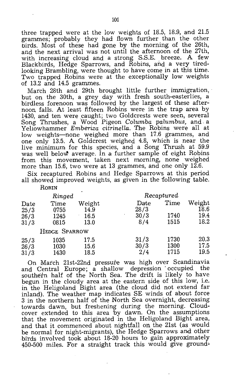three trapped were at the low weights of 18.5, 18.9, and 21.5 grammes; probably they had flown further than the other birds. Most of these had gone by the morning of the 26th, and the next arrival was not until the afternoon of the 27th, with increasing cloud and a strong S.S.E. breeze. A few Blackbirds, Hedge Sparrows, and Robins, and a very tiredlooking Brambling, were thought to have come in at this time. Two trapped Robins were at the exceptionally low weights of 13.2 and 14.5 grammes.

March 28th and 29th brought little further immigration, but on the 30th, a grey day with fresh south-easterlies, a birdless forenoon was followed by the largest of these afternoon falls. At least fifteen Robins were in the trap area by 1430, and ten were caught; two Goldcrests were seen, several Song Thrushes, a Wood Pigeon *Calumba palumbus,* and a Yellowhammer *Emberiza citrinella.* The Robins were all at low weights-none weighed more than 17.6 grammes, and one only 13.5. A Goldcrest weighed 4.8, which is near the live minimum for this species, and a Song Thrush at 59.9 was well below average. In a further sample of eight Robins from this movement, taken next morning, none weighed more than 15.6, two were at 13 grammes, and one only 12.6.

Six recaptured Robins and Hedge Sparrows at this period all showed improved weights, as given in the following table.

|      | Ringed        |        | Recaptured |      |        |  |
|------|---------------|--------|------------|------|--------|--|
| Date | Time          | Weight | Date       | Time | Weight |  |
| 25/3 | 0755          | 14.9   | 28/3       |      | 18.6   |  |
| 26/3 | 1245          | 16.5   | 30/3       | 1740 | 19.4   |  |
| 31/3 | 0815          | 13.0   | 8/4        | 1515 | 18.2   |  |
|      | HEDGE SPARROW |        |            |      |        |  |
| 25/3 | 1035          | 17.5   | 31/3       | 1730 | 20.3   |  |
| 26/3 | 1030          | 15.6   | 30/3       | 1300 | 17.5   |  |
| 31/3 | 1430          | 18.5   | 2/4        | 1715 | 19.5   |  |

On March 21st-22nd pressure was high over Scandinavia and Central Europe; a shallow depression' occupied the southern half of the North Sea. The drift is likely to have begun in the cloudy area at the eastern side of this low, i.e. in the Heligoland Bight area (the cloud did not extend far inland). The weather map indicates SE winds of about force 3 in the northern half of the North Sea overnight, decreasing towards dawn, but freshening during the morning. Cloudcover extended to this area 'by dawn. On the assumptions that the movement originated in the Heligoland Bight area, and that it commenced about nightfall on the 21st (as would be normal for night-migrants), the Hedge Sparrows and: other birds involved took about 18-20 hours to gain approximately  $450-500$  miles. For a straight track this would give ground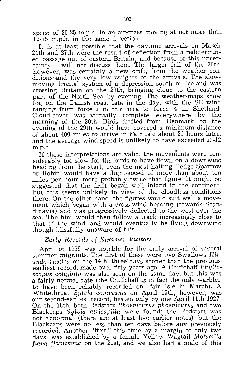speed of 20-25 m.p.h. in an air-mass moving at not more than 12-15 m.p.h. in the same direction.

It is at least possible that the daytime arrivals on March 21th and 27th were the result of deflection from a redetermined passage out of eastern Britain; and because of this uncertainty I will not discuss them. The larger fall of the 30th, however, was certainly a new drift, from the weather conditions'and the very low weights of the arrivals. The slowmoving frontal system of a depression south of Iceland was crossing Britain on the 29th, bringing cloud to the eastern part of the North Sea by evening. The weather-maps show fog on the Danish coast late in the day, with the SE wind ranging from force 1 in this area to force 4 in Shetland. Cloud-cover was virtually complete everywhere by the morning of the 30th. Birds drifted from Denmark on the evening. of the 29th would have covered a minimum distance of about 400 miles to arrive in Fair Isle about 20 hours later, and the average wind-speed is unlikely to have exceeded 10-12 m.p.h.

If these interpretations are valid, the movements were considerably too slow for the birds to have flown on a downwind heading from the start; even the most halting Hedge Sparrow or Robin would have a flight-speed of more than about ten miles per hour, more probably twice that figure. It might be suggested that the drift began well inland in the continent, but this seems unlikely in view of the cloudless conditions there. On the other hand, the figures would suit well a movement which began with a cross-wind heading (towards Scandinavia) and was progressively deflected to the west over the sea. The bird would then follow a track increasingly close to that of the wind, and would eventually be flying downwind though blissfully unaware of this.

#### *Early Records* of *Summer Visitors*

April of 1959 was notable for the early arrival of several summer migrants. The first of these were two Swallows *Hirundo rustica* on the 14th, three'days sooner than the previous earliest record, made over fifty years ago. A Chiffchaff *PhyUoscapus coHybito* was also seen on the same day, but this was a fairly normal·date (the Chiffchaff is in fact the only warbler to have been reliably recorded on Fair Isle in March). A Whitethroat *Sylvia communis* on April 15th, however, was our second-earliest record, beaten only by one April 11th 1927. On the 18th, both Redstart *Phoenicurus* phoenicurus and two Blackcaps *Sylvia atricapiHa* were found; the Redstart was not abnormal (there are at least five earlier notes), but the Blackcaps were no less than ten days before any previously recorded. Another "first," this time by a margin of only two days, was established by a female Yellow Wagtail *MotaciUa flava flavissima* on the 21st, and we also had a male of this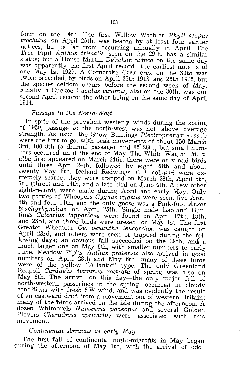form on the 24th. The first Willow Warbler *Phylloscopus trochilus,* on April 25th, was beaten by at least four earlier notices; but is far from occurring annually in April. The Tree Pipit *Anthus trivialis*, seen on the 29th, has a similar status; but a 'House Martin *DeLichon urbica* on the same day was apparently the first April record-the earliest note is of one May 1st 1929. A Corncrake *Crex crex* on the 30th was twice preceded, by birds on April 25th 1913, and 26th 1925, but the species seldom occurs before the second week of May. Finally, a Cuckoo *Cuculus canorus*, also on the 30th, was our second April record; the other being on the same day of April 1914.

#### *Passage to the North-West*

In spite of the prevalent westerly winds during the spring of 1959, passage to the north-west was not above average strength. As usual the Snow Buntings Plectrophenax nivalis were the first to go, with peak movements of about 150 March 3rd, 100 8th (a diurnal passage), and 85 26th, but small numbers occurred until the end of May. The White Wagtail M. *a. alba* first appeared on March 24th; there were only odd birds until three April 24th, followed by eight 28th and about twenty May 6th. Iceland Redwings T. i. coburni were extremely scarce; they were trapped on March 28th, April 5th, 7th (three) and 14th, and a late bird on June 4th. A few other sight-records were made during April and early May. Only two parties of Whoopers Cygnus cygnus were seen, five April 8th and four 14th, and the only goose was a Pink-foot *Anser brachyrhynchus,* on April 25th. Single male Lapland Buntings *Calcarius lapponicus* were found on April 17th, 18th, and 23rd, and three birds were present on May 1st. The first Greater Wheatear Oe. *oenanthe leucorrhoa* was caught on April 23rd, and others were seen or trapped during the following days; an obvious fall succeeded on the 29th, and a much larger one on May 6th, with smaller numbers to early June. Meadow Pipits *Anthus pratensis* also arrived in good numbers on April 28th and May 6th; many of these birds were of the yellow "Atlantic" type. The only Greenland Redpoll *Carduelis flammea rostrata* of spring was also on May 6th. The arrival on this day-the only major fall of north-western passerines in the spring--occurred in cloudy conditions with fresh SW wind, and was evidently the result of an eastward drift from a movement out of western Britain; many of the 'birds arrived on the isle quring the afternoon. A dozen Whimbrels *Numenius phaeopus* and several Golden Plovers *Charadrius apricarius* were associated with this movement.

#### *Continental Arrivals in early May*

The first fall of continental night-migrants in May began during the afternoon of May 7th, with the arrival of odd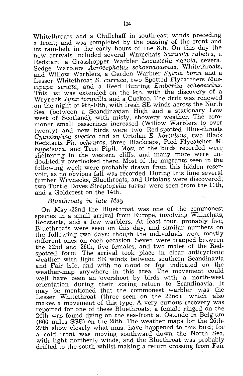Whitethroats and a Chiffchaff in south-east winds preceding a front; and was completed by the passing of the front and its rain-belt in the early hours of the 8th. On this day the new arrivals included several Whinchats Saxicola rubeira, a Redstart, a Grasshopper Warbler *Locustella naevia*, several Sedge Warblers *Acrocephalus* schoenabaenus, Whitethroats, and Willow Warblers, a Garden Warbler *SyLvia borin* and a Lesser Whitethroat *S. curruca,* two Spotted Flycatchers *Muscipapa striata,* and a Reed Bunting *Emberiza sch0enicLus.*  This list was extended on the 9th, with the discovery of a Wryneck *Jynx torquiHa* and a Cuckoo. The drift was renewed ,on the night of 9th-10th, with fresh SE winds across the North Sea (between a Scandinavian High and a stationary Low west of Scotland), with misty, showery weather. The commoner small passerines increased (Willow Warblers to over twenty) and new birds were two Red-spotted Blue-throats *Cyanosylvia svecica* and an Ortolan *E. hortulana*, two Black Redstarts *Ph. ochruros,* three Blackcaps, Pied Flycatcher M. *hypeLeuca,* and Tree Pipit. Most of the 'birds recorded were sheltering in the western cliffs, and many more were undoubtedly overlooked there. Most of the migrants seen in the following week were probably drawn from this hidden reservoir, as no obvious fall was recorded. During this time several further Wrynecks, Bluethroats, and Ortolans were discovered; two Turtle Doves *Streptopelia turtur* were seen from the 11th, and a Goldcrest on the 14th.

#### *BLuethroats in Late May*

On May,22nd the Bluethroat was one of the commonest species in a small arrival from Europe, involving Whinchats, Redstarts, and a few warblers. At least four, probably five, Bluethroats were seen on this day, and similar 'numbers on the following two days; though the individuals were mostly different ones on each occasion. Seven were trapped between the 22nd and 26th, five females, and two males of the Redspotted form. The arrival took place in clear anticyclonic weather with light SE winds between southern Scandinavia and Fair Isle, and with no cloud or fog indicated on the weather-map anywhere in this area. The movement could well have been an overshoot by birds with a north-west orientation during their spring return to Scandinavia. It may be mentioned that the commonest warbler was the Lesser Whitethroat (three seen on the 22nd), which also makes a movement of this type. A very curious recovery was reported for one of these Bluethroats; a female ringed on the 24th was found dying on the sea-front at Ostende in Belgium (600 miles SSE) on the 28th. The weather maps for the 26th- $27th$  show clearly what must have happened to this bird; for a cold front was moving southward down the North Sea, with light northerly winds, and the Bluethroat was probably drifted to the south whilst making a return crossing from Fair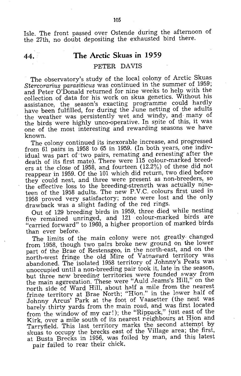Isle. The front passed over Ostende during the afternoon of the 27th, no doubt depositing the exhausted bird there.

#### **44. The Arctic Skuas in** 1959

#### PETER DAVIS

The observatory's study of the local colony of Arctic Skuas *Stercorarius parasiticus* was continued in the summer of 1959; and Peter O'Donald returned for nine weeks to help with the collection of data for his work on skua genetics. Without his assistance, the season's exacting programme could hardly have been fulfilled, for during the June netting of the adults the weather was persistently wet and windy, and many of the birds were highly unco-operative. In spite of this, it was one of the most interesting and rewarding seasons we have known.

The colony continued its inexorable increase, and progressed from 61 pairs in 1958 to 65 in 1959. (In both years, one individual was part of two pairs, remating and renesting after the death of its first mate). There were 115 colour-marked breeders at the close of 1958, and fourteen (12.2%) of these did not reappear in 1959. Of the 101 which did return, two died before they could nest, and three were present as non-breeders, so the effective loss to the breeding-strenqth was actually nineteen of the 1958 adults. The new P.V.C. colours first used in 1958 proved very satisfactory; none were lost and the only drawback was a slight fading of the red rings.

Out of 129 breeding birds in 1959, three died while nesting five remained unringed, and 121 colour-marked birds are "carried forward" to 1960, a higher proportion of marked birds than ever before.

The limits of the main colony were not greatly. changed from 1958, though two pairs broke new ground On the lower part of the Brae of Restensgeo, in the north-east, and on the north-west fringe the old Mire of Vatnagard territory was abandoned. The isolated 1958 territory of Johnny's Peats was unoccupied until a non-breeding pair took it, late in the season, but three new breeding territories were founded away from the main aggregation. These were "Auld Jeams's Hill," on the north side of Ward Hill, about half a mile from the nearest fringe territory at Brae North; "Hion." in the lower half of Johnny Arcus' Park at the foot of Vaasetter (the nest was barely thirty yards from the main road, and was first located from the window of my car!); the "Rippack," just east of the Kirk, over a mile south of its nearest neighbours at Hjon and Tarryfield. This last territory marks the second attempt by skuas to occupy the brecks east of the Village area; the first, at Busta Brecks in 1956, was foiled by man, and this latest pair failed to rear their chick.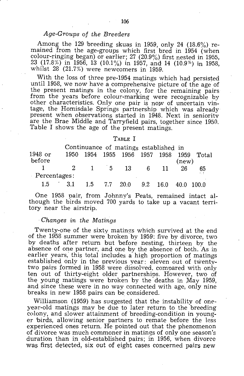#### *Age-Groups of the Breeders*

Among the 129 breeding skuas in 1959, only 24  $(18.6\%)$  remained from the age-groups which first bred in 1954 (when colour-ringing began) or earlier; 27 (20.9%) first nested in 1955, 23 (17.8%) in 1956, 13 (10.1%) in 1957, and 14 (10.9%) in 1958, whilst 28 (21.7%) were newcomers in 1959.

With the loss of three pre-1954 matings which had persisted until 1958, we now have a comprehensive picture of the age of the present matings in the colony, for the remaining pairs from the years before colour-marking were recognizable by other characteristics. Only one pair is now of uncertain vintage, the Homisdale Springs partnership which was already present when observations started in 1948. Next in seniority are the Brae Middle and Tarryfield pairs, together since 1950. Table I shows the age of the present matings.

#### TABLE I

|              |  |                |          |          | Continuance of matings established in |       |         |       |                  |
|--------------|--|----------------|----------|----------|---------------------------------------|-------|---------|-------|------------------|
| 1948 or      |  | 1950.          |          |          | 1954 1955 1956 1957 1958              |       |         | 1959  | Total            |
| before       |  |                |          |          |                                       |       |         | (new) |                  |
|              |  | $\overline{2}$ | $\sim$ 1 |          | 5 13                                  | - 6 - | -11     | 26    | 65               |
| Percentages: |  |                |          |          |                                       |       |         |       |                  |
| $1.5 -$      |  | 3.1            | $1.5 -$  | 7.7 20.0 |                                       | 9.2   | $-16.0$ |       | $40.0 \pm 100.0$ |

One 1958 pair, from Johnny's Peats, remained intact although the birds moved 700 yards to take up a vacant territory near the airstrip.

#### *. Changes in the Matings*

Twenty-one of the sixty matings which survived at the end of the 1958 summer were broken by 1959: five by divorce, two by deaths after return but before nesting, thirteen by the absence of one partner, and one by the absence of both. As in earlier years, this total includes a high proportion of matings established only in the previous year: eleven out of twentytwo pairs formed in 1958 were dissolved. compared with oniy ten out of thirty-eight older partnerships. However, two of the young matings were broken by the deaths in May 1959, and since these were in no way connected with age, only nine breaks in new 1958 pairs can be considered.

Williamson (1959) has suggested that the instability of oneyear-old matings may be due to later return to the breeding colony, and slower attainment of breeding-condition in younger birds, allowing senior partners to remate before the less experienced ones return. He pointed out that the phenomenon of divorce was much commoner in matings of only one season's duration than in old-established pairs; in 1956, when divorce was first detected, six out of eight cases concerned pairs new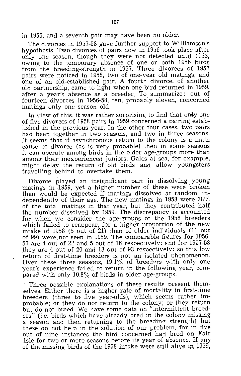in 1955, and a seventh pair may have been no older.

The divorces in 1957-58 gave further support to Williamson's hypothesis. Two divorces of pairs new in 1956 took place after only one season, though they were not detected until 1953, owing to the temporary absence of one or both 1956 birds from the breeding-strength in 1957. Three divorces of 1957 pairs were noticed in 1958, two of one-year old matings, and one of an old-established pair. A fourth divorce, of another old partnership, came to light when one bird returned in 1959, after a year's absence as a breeder. To summarize: out of fourteen divorces in 1956-58, ten, probably eleven, concerned matings only one season old.

In view of this, it was rather surprising to find that only one of five divorces of 1958 pairs in 1959 concerned a pairing established in the previous year. In the other four cases, two pairs had been together in two seasons, and two in three seasons. It seems that if asynchronous return to the colony is a main cause of divorce (as is very probable) then in some seasons it can overate among birds in the older age-groups more than among their inexperienced juniors. Gales at sea, for example, might delay the return of old birds' and allow youngsters travelling behind to overtake them.

Divorce played an insignificant part in dissolving young matings in 1959, yet a higher number of these were broken than would be expected if matings dissolved at random. independentlv of their age. The new matings in 1958 were 38% of the total matings in that vear, but they contributed half the number dissolved by 1959. The discrepancy is accounted for when we consider the age-grouns of the 1958 breeders which failed to reappear, for a higher proportion of the new intake of 1958 (5 out of 21) than of older individuals (11 out of 99) were .not seen in 1959. The comnarable fiqures for 1956-  $57$  are 4 out of 22 and 5 out of 76 respectively: and for 1957-58 they are 4 out of 20 and 13 out of 93 respectively: so this low return of first-time breeders is not an isolated phenomenon. Over these three seasons,  $19.1\%$  of breeders with only one year's experience failed to return in the following year, compared with only 10.8% of birds in older age-groups.

Three possible explanations of these results present themselves. Either there is a higher rate of mortality in first-time breeders (three to five year-olds), which seems rather imnrobable; or they do not return to the colony; or they return but do not breed. We have some data on "intermittent breeders" (i.e. birds which have already bred in the colony missing a season and then returning to the breeding- strength) but these do not help in the solution of our problem, for in five out of nine instances the bird concerned had bred on Fair Isle for two or more seasons before its year of absence. If any of the missing birds of the 1958 intake were still aliVe in 1959,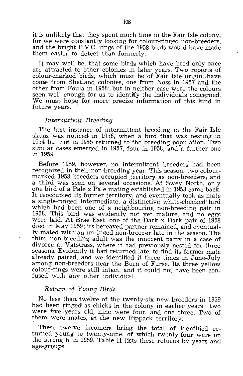it is unlikely that, they spent much time in the Fair Isle colony. for we were constantly looking for colour-ringed non-breeders. and the bright P.V.C. rings of the 1958 birds would have made them easier to detect than formerly.

It may well be, that some birds which have bred only once are attracted to other colonies in later years. Two reports of colour-marked birds, which must be of Fair Isle origin, have come from Shetland colonies. one from Noss in 1957 and the other from Foula in 1958; but in neither case were the colours seen well enough for us to identify the individuals concerned. We must hope for more precise information of this kind in future years.

#### *Intermittent Breeding*

The first instance of intermittent breeding in the Fair Isle skuas was noticed in 1956, when a bird that was nesting in 1954 but not in 1955 returned to the breeding population. Two similar cases emerged in 1957, four in 1958, and a further one in 1959.

Before 1959, however, no intermittent breeders had been recognized in their non-breeding year. This season, two colourmarked 1958 breeders occupied territory as non-breeders, and a third was seen on several occasions. At Swey North, only one bird of a Pale x Pale mating established in 1958 came back. It reoccupied its former territory, and eventually took as mate a, single-ringed Intermediate, a distinctive white-cheeked' bird which had been one of a neighbouring non-breeding pair in 1958. This bird was evidently not yet mature, and no eggs were laid. At Brae East, one of the Dark x Dark pair of 1958 died in May 1959; its bereaved partner remained, and eventually mated with an unringed non-breeder late in the season. The third non-breeding' adult was the innocent party in a case of divorce at Vatstrass, where it had previously nested for three seasons. Evidently it had returned late, to find its former mate already paired, and we identified it three times in June-July among non-breeders near the Burn of Furse. Its three yellow colour-rings were still intact, and it could not have been confused with any other individual.

#### *Return* of *Young Birds*

No less than twelve of the twenty-six new breeders in 1959 had been ringed as chicks in the colony in earlier years: two were five years old, nine were four, and one three. Two of them were mates, at the new Rippack territory.

These twelve incomers bring the total of identified returned young to twenty-nine, of which twenty-four were on the strength in 1959. Table IT lists these returns by years and age-groups.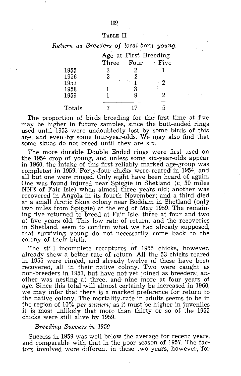#### TABLE II

*Return as Breeders* of *local-born young.* 

|        |       | Age at First Breeding |        |  |  |  |
|--------|-------|-----------------------|--------|--|--|--|
|        | Three | Four                  | · Five |  |  |  |
| 1955   | 2     | 2                     |        |  |  |  |
| 1956   | 3     |                       |        |  |  |  |
| 1957   |       |                       | 2      |  |  |  |
| 1958   | 1     | 3                     |        |  |  |  |
| 1959   |       |                       | 2      |  |  |  |
|        |       |                       |        |  |  |  |
| Totals |       |                       |        |  |  |  |

The proportion of birds breeding for the first time at five may be higher in future samples, since the butt-ended rings used until 1953 were undoubtedly lost by some birds of this age, and even by some four-year-olds. We may also find that some skuas do not breed until they are six.

The more durable Double Ended rings were first used on the 1954 crop of young, and unless some six-year-olds appear in 1960, the intake of this first reliably marked age-group was completed in 1959. Forty-four chicks were reared in 1954, and all but one were ringed. Only eight have been heard of again. One was found injured near Spiggie in Shetland (c. 30 miles NNE of Fair Isle) when almost three years old; another was recovered in Angola in its fourth November; and a third died at a small Arctic Skua colony near Boddam in Shetland (only two miles from Spiggie) at the end of May 1959. The remaining five returned to breed at Fair Isle, three at four and two at five years old. This low rate of return, and the recoveries in Shetland, seem to confirm what we had already supposed, that survivingi young do not necessarily come back to the colony of their birth.

The still incomplete recaptures of 1955 chicks, however, already show a better rate of return. All the 53 chicks reared in 1955 were ringed, and already twelve of these have been recovered, all in their native colony. Two were caught as non-breeders in 1957, but have not yet joined as breeders; another was nesting at three, and' nine more at four years of age. Since this total will almost certainly be increased in 1960, we may infer that there is a marked preference for return to the native colony. The mortality rate in adults seems to be in the region of  $10\%$  *per annum;* as it must be higher in juveniles it is most unlikely that more than thirty or so of the 1955 chicks were still alive 'by 1959.

#### *Breeding. Success in 1959*

Success in 1959 was well below the average for recent years, and comparable with that in the poor season of J957. The factors involved were different in these two years, however, for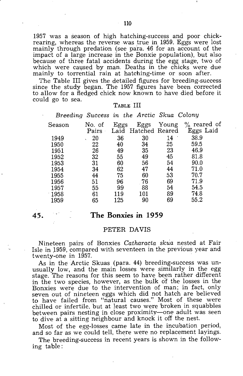1957 was a season of high hatching-success and poor chickrearing, whereas the reverse was true in 1959. Eggs were lost mainly through predation (see para. 46 for an account of the impact of a large increase in the Bonxie population), but also because of three fatal accidents during the egg stage, two of which were caused by man. Deaths in the chicks were due mainly to torrential rain at hatching-time or soon after.

The Table III gives the detailed figures for breeding-success since the study began. The 1957 figures have been corrected to allow for a fledged chick now known to have died before it could go to sea.

#### TABLE III

| Breeding Success in the Arctic Skua Colony |                 |      |                             |       |                             |
|--------------------------------------------|-----------------|------|-----------------------------|-------|-----------------------------|
| Season                                     | No. of<br>Pairs | Eggs | Eggs<br>Laid Hatched Reared | Young | $\%$ reared of<br>Eggs Laid |
| 1949                                       | 20              | 36   | 30                          | 14    | 38.9                        |
| 1950                                       | 22              | 40   | 34                          | 25    | 59.5                        |
| 1951                                       | 26              | 49   | 35                          | 23    | 46.9                        |
| 1952                                       | 32              | 55   | 49                          | 45    | 81.8                        |
| 1953                                       | 31              | 60   | 56                          | 54    | 90.0                        |
| 1954                                       | 34              | 62   | 47                          | 44    | 71.0                        |
| 1955                                       | 44              | 75   | 60                          | 53    | 70.7                        |
| 1956                                       | 51              | 96   | 76                          | 69    | 71.9                        |
| 1957                                       | 55              | 99   | 88                          | 54    | 54.5                        |
| $-1958$                                    | 61              | 119  | 101                         | 89    | 74.8                        |
| 1959                                       | 65              | 125  | 90                          | 69    | 55.2                        |

#### **45. The Bonxies in 1959**

#### PETER DAVIS

Nineteen pairs of Bonxies *Catharacta skua* nested at Fair Isle in 1959, compared with seventeen in the previous year and twenty-one in 1957.

As in the Arctic Skuas (para. 44) breeding-success was unusually low, and the main losses were similarly in the egg stage. The reasons for this seem to have been rather different in the two species, however, as the bulk of the losses in the Bonxies were due to the intervention of man; in fact, only seven out of nineteen eggs which did not hatch are believed to have failed from "natural causes." Most of these were chilled or infertile, but at least two were 'broken in squabbles between pairs nesting in close proximity-one adult was seen to dive at a sitting neighbour and knock it off the nest.

Most of the egg-losses came late in the incubation period, and so far as we could tell, there were no replacement layings.

The breeding-success in recent years is shown in the following table: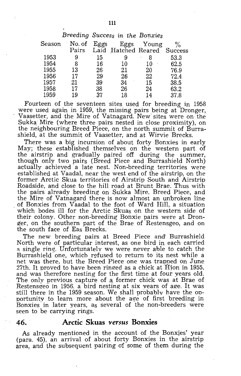| No. of<br>Season | Eggs |       |    | $\%$                                                                         |
|------------------|------|-------|----|------------------------------------------------------------------------------|
|                  |      |       |    |                                                                              |
| 9                | 15   | 9     | 8  | 53.3                                                                         |
| 8                | 16   | 10    | 10 | 62.5                                                                         |
| 13               | 26   | 21    | 20 | 76.9                                                                         |
| 17               | 29   | 26    | 22 | 72.4                                                                         |
| 21               | 39   | 34    | 15 | 38.5                                                                         |
| 17               | 38   | 26    | 24 | 63.2                                                                         |
| 19               | 37   | 18    | 14 | 37.8                                                                         |
|                  |      | Pairs |    | Breeding Success in the Bonxies<br>Eggs Young<br>Laid Hatched Reared Success |

Fourteen of the seventeen sites used for breeding in 1958 were used again in 1959, the missing pairs being at Dronger, Vaasetter, and the Mire of Vatnagard. New'sites were on the Sukkq Mire (where three pairs nested in close proximity), on the neighbouring Breed Piece, on the north summit of Burrashield, at the summit of Vaasetter, and at Wirvie Brecks.

There was a big incursion of about forty Bonxies in early May; these established themselves on the western part of the airstrip and gradually paired off during the summer, though only two pairs (Breed Piece and Burrashield North) actually achieved a late nest. Non-breeding territories were established at Vaadal, near the west end of the airstrip, on the former Arctic Skua territories of Airstrio South and Airstrip Roadside, and close to the hill road at Brunt Brae. Thus with the pairs already breeding on Sukka Mire, Breed Piece, and the Mire of Vatnagard there is now almost an unbroken line of Bonxies from Vaadal to the foot of Ward Hill, a situation which bodes ill for the Arctic Skuas on the western side of their colony. Other non-breeding Bonxie pairs were at Dronger, on the southern part of the Brae of Restensgeo, and on the south face of Eas Brecks.'

The new breeding pairs at Breed Piece and' Burrashield North were of particular interest, as one bird in each carried a single ring. Unfortunatelv we were never able to catch the Burrashield one, which refused to return to its nest while a net was there, but the Breed Piece one was trapoed On June  $27th$ . It proved to have been ringed as a chick at Hion in 1955, and was therefore nesting for the first time at four years old. The only previous capture of a former chick was at Brae of Restensgeo in 1956. a bird nesting at six years of age. It was still there in the 1959 season. We shall probably have the opportunity to learn more about the age of first breeding in Bonxies in later years, as several of the non-breeders were seen to be carrying rings.

#### **46. Arctic Skuas** *versus* **Bonxies**

As already mentioned in the account of the Bonxies' year (para. 45), an arrival of about forty Bonxies in the airstrip area, and the subsequent pairing of some of them during the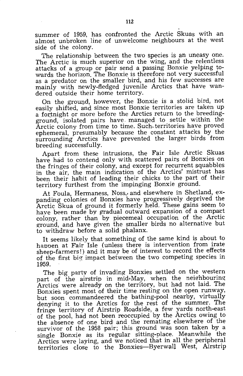summer of 1959, has confronted the Arctic Skuas with an almost unbroken line of unwelcome neighbours at the west side of the colony.

The relationship between the two species is an uneasy one. The Arctic is much superior on the wing, and the relentless attacks of a group or pair send a passing Bonxie yelping towards the horizon. The Bonxie is therefore not very successful as a predator on the smaller bird, and his few successes are mainly with newly-fledged juvenile Arctics that have wandered outside their home territory.

On the ground, however, the Bonxie is a stolid bird, not easily shifted, and since most Bonxie territories are taken up a fortnight or more before the Arctics return to the breedingground, isolated pairs have. managed to settle within the Arctic colony from time to time. Such territories have proved ephemeral, presumably because the constant attacks by the surrounding Arctics have prevented the larger birds from breeding successfully.

Apart from these intrusions, the Fair Isle Arctic Skuas have had to contend only with scattered pairs of Bonxies on the fringes of their colony, and except for recurrent squabbles in the air, the main indication of the Arctics' mistrust has been their habit of leading their chicks to the part of their territory furthest from the impinging Bonxie ground.

At Foula, Hermaness, Noss, and elsewhere in Shetland, expanding colonies of Bonxies have progressively deprived the Arctic Skua of ground it formerly held. These gains seem to have been made by gradual outward expansion of a compact colony, rather than by piecemeal occupation of the Arctic ground, and have given the smaller birds no alternative but to withdraw before a solid phalanx.

It seems likely that something of the same kind is about to happen at Fair Isle (unless there is intervention from irate sheep-farmers!) and it may be of interest to record the effects of the first big impact between the two competing species in 1959.

The big party of invading Bonxies settled on the western part of the airstrip in mid-May, when the neighbouring Arctics were already on the territory, but had not laid. The Bonxies spent most of their time resting on the open runway, but soon commandeered the bathing-pool nearby, virtually denying it to the Arctics for the rest of the summer. The fringe territory of Airstrip Roadside, a few yards north-east of the pool, had not been reoccupied by the Arctics owing to the absence of one bird and the remating: elsewhere of the survivor of the 1958 pair; this ground was soon taken by a single Bonxie as its regular sitting~place. Meanwhile the Arctics were laying, and we noticed that in all the peripheral territories close to the Bonxies-Byerwall West, Airstrip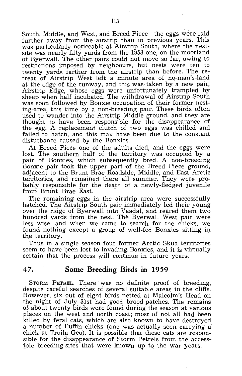South, Middie, and West, and Breed Piece—the eggs were laid further away from the airstrip than in previous years. This was particularly noticeable at Airstrip South, where the nestsite was nearly fifty yards from the 1958 one, on the moorland ot Byerwall. 'l'he other 'pairs could not move so far, owing to restrictions imposed by neighbours, but nests were ten to twenty yards tarther from the airstrip than before. The retreat of Airstrip West left a minute area of no-man's-land at the edge of the runway, and this was taken by a new pair, Airstrip Edge, whose eggs were unfortunately trampled by sheep when half incubated. The withdrawal of Airstrip South was soon followed by Bonxie occupation of their former nesting-area, this time by a non-breeding pair. These birds often used to wander into the Airstrip Middle ground, and they are thought to have been responsible for the disappearance of the egg. A replacement clutch of two eggs was chilled and failed to hatch, and this may have been due to the constant disturbance caused by the Bonxies.

At Breed Piece one of the adults died, and the eggs were lost. The southern half of the territory was occupied by a pair of Bonxies, which subsequently bred. A non-breeding Bonxie pair took the upper part of the Breed Piece ground, adjacent to the Brunt Brae Roadside, Middle, and East Arctic territories, and remained there all summer. They were probably responsible for the death of a newly-fledged juvenile from Brunt Brae East.'

The remaining eggs in the airstrip area were successfully hatched. The Airstrip South pair immediately led their young over the ridge of Byerwall into Vaadal, and reared them two hundred yards from the nest. The Byerwall West pair were less wise, and when we came, to search for the chicks, we found nothing except a group of well-fed Bonxies sitting in the territory.

Thus in a single season four former Arctic Skua territories seem to have been lost to invading, Bonxies, and it is virtually certain that the process will continue in future years.

#### **47. Some Breeding Birds in 1959**

STORM PETREL. There' was no definite proof of breeding, despite careful searches of several suitable areas in the cliffs. However, six out of eight birds netted at Malcolm's Head on the night of July 31st had good brood-patches. The remains of. about twenty birds were found during the season at various places on the west and north coast; most of not all had been killed! by feral cats, which are also known to have destroyed a number of Puffin chicks (one was actually seen carrying; a chick at Troila Geo). It is possible that these cats are responsible for the disappearance of Storm Petrels from the accessible breeding-sites that were known up to the war years.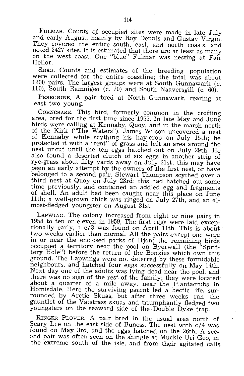FULMAR. Counts of occupied sites were made in late July and early August, mainly by Roy Dennis and Gustav Virgin. They covered the entire south, east, and north coasts, and noted 2427 sites. It is estimated that there are at least as many on the west coast. One "blue" Fulmar was nesting at Fair Heilor.

SHAG. Counts and estimates of the breeding population were collected for the entire coastline; the total was about 1200 pairs. The largest groups were at South Gunnawark (c. 110), South Ramnigeo (c. 70) and South Naaversgill (c. 60).

PEREGRINE. A pair bred at North Gunnawark, rearing at least two young.

CORNCRAKE. This bird, formerly common in the crofting area, bred for the first time since 1955. In late May and June birds were calling at Kennaby, Quoy, and in the marsh north of the Kirk ("The Waters"). James Wilson uncovered a nest of Kennaby while scything his hay-crop on July 15th; he protected it with a "tent" of grass and left an area around the nest uncut until the ten eggs hatched out on July 29th. He also found a deserted clutch of six eggs in another strip of rye-grass about fifty yards away on July 21st; this may have been an early attempt by the owners of the first nest, or have belonged to a second pair. Stewart Thompson scythed over a third nest at Quoy on July 23rd; this had hatched out some time previously, and contained an addled egg and fragments of shell. An adult had been caught near this place on June 11th; a well-grown chick was ringed on July 27th, and an almost-fledged youngster on August 31st.

LAPWING. The colony increased from eight or nine pairs in 1958 to ten or eleven in 1959. The first eggs were laid exceptionally early, a c/3 was found on April 11th. This is about two weeks earlier than normal. All the pairs except one were in or near the enclosed parks of Hjon; the remaining birds occupied a territory near the pool on Byerwall (the "Sprittery Hole") before the return of the Bonxies which own this ground. The Lapwings were not deterred by these formidable neighbours, and hatched four eggs successfully On May 14th. Next day one of the adults was lying dead near the pool, and there was no sign of the rest of the family; they were located about a quarter of a mile away, near the Plantacrubs in Homisdale. Here the surviving parent led a hectic life, surrounded by Arctic Skuas, but after three weeks ran the gauntlet of the Vatstrass skuas and triumphantly fledged *two*  youngsters on the seaward side of the Double Dyke trap.

RINGER PLOVER. A pair bred in the usual area north of Scary Lee on the east side of Buness. The nest with  $c/4$  was found on May 3rd, and the eggs hatched on the 26th. A second pair was often seen on the shingle at Muckle Uri Geo, in the extreme south of the isle, and from their agitated calls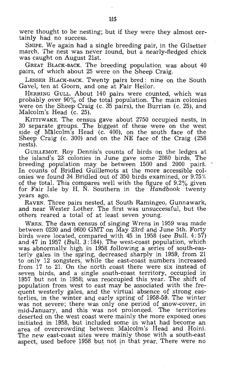were thought to be nesting; but if they were they almost certainly had no success.

SNIPE. We again had a single breeding pair, in the Gilsetter march. The nest was never found, but a nearly-fledged chick was caught on August 21st.

GREAT BLACK-BACK. The breeding population was about 40 pairs, of which about 25 were on the Sheep Craig.

LESSER BLACK-BACK. Twenty pairs bred: nine on the South Gavel, ten at Goorn, and one at Fair Heilor.

HERRING GULL. About 140 pairs were counted, which was probably over 90% of the total population. The main colonies were on the Sheep Craig (c. 35 pairs), the Burrian (c. 25), and Malcolm's Head (c. 25).

KITTIWAKE. The census gave about 2750 occupied nests, in 30 separate groups. The biggest of these were on the west side of Malcolm's Head (c. 400), on the south face of the Sheep<sup>-</sup> Craig (c. 300) and on the NE face of the Craig (258 nests).

GUILLEMOT. Roy Dennis's counts of birds on the ledges at the island's 23 colonies in June gave some 2080 birds. The breeding population may be between 1500 and 2000 pairs. In counts of Bridled Guillemots at the more accessible colonies we found 34 Bridled out. of 350 birds examined, or 9.75% of the total. This compares well with the figure of  $9.2\%$  given for Fair Isle by H.  $\tilde{N}$ . Southern in the Handbook twenty years ago.

RAVEN. Three pairs nested, at South Ramingeo, Gunnawark, and near Wester Lother. The first was unsuccessful, but the others reared a total of at least seven young.

WREN. The dawn census of singing Wrens in 1959 was made between 0230 and 0600 GMT on May 23rd and June 5th. Forty birds were located, compared with  $45$  in 1958 (see Bull.  $4:57$ ) and 47 in 1957 (Bull.  $3:\overline{1}84$ ). The west-coast population, which was abnormally high in 1958 following a series of south-easterly gales in the spring, decreased sharply in 1959, from 21 to only 12 songsters; while the east-coast numbers increased from 17 to 21. On the north coast there were six instead of seven birds, and a single south-coast territory, occupied in 1957 but not in 1958; was reoccupied this year. The shift of population from west to east may be associated with the frequent westerly gales, and the virtual absence of strong easterlies, in the winter and early spring of 1958-59. The winter was not severe; there was only one period of snow-cover, in mid-January, and this was not prolonged. The territories deserted on the west coast were mainly the more exposed ones initiated in 1958, but included some in what had become an area of overcrowding between Malcolm's Head and Hoini. The new east-coast sites were mainly those with a south-east aspect, used before 1958 but not in that year. There were no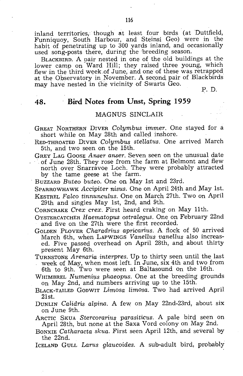inland territories, though at least four birds (at Duttfield, Funniquoy, South Harbour, and Steinsi Geo) were in the habit of penetrating up to 300 yards inland, and occasionally used song-posts there, during the breeding season.

BLACKBIRD. A pair nested in one of the old buildings at the lower camp on Ward Hill; they raised three young, which flew in the third week.of June, and one of these was retrapped at the Observatory in November. A second pair of Blackbirds may have nested in the vicinity of Swarts Geo.

P. D.

### **48. Bird Notes from Unst, Spring 1959**

#### MAGNUS SINCLAIR

GREAT NORTHERN DIVER *CoLymbus immer.* One stayed for a short while on May 28th and called inshore.

RED-THROATED DIVER *Colymbus steHatus.* One arrived March

5th, and two seen on the 15th.<br>GREY LAG GOOSE Anser anser. Seven seen on the unusual date GREY 10 Goodset *anser and seem seem seem at Belmont and flew* north over Snarravoe Loch. They were probably attracted by the tame geese at the farm.

. BUZZARD *Buteo buteo.* One on May 1st and 23rd.

SPARROWHAWK *Accipiter nisus*. One on April 24th and May 1st. KESTREL *FaLco tinnuncuLus.* One on March 27th. Two On April 29th and singles May 1st, 2nd, and 9th.

CORNCRAKE *Crex crex.* First heard crakihg on May 11th.

OYSTERCATCHER *Haematopus ostralegus.* One on February 22nd and five on the 27th were the first recorded.

GOLDEN PLOVER *Charadrius apricarius.* A flock of 50 arrived March 6th, when LAPWINGS Vanellus vanellus also increased. Five passed overhead on April 28th, and about thirty present May 6th.

TURNSTONE *Arenaria interpres.* Up to thirty seen until the last week of May, when most left. In June, six 4th and two from 6th to 9th. Two were seen at Baltasound On the 16th.

WHIMBREL *Numenius* phaeopus. One at the breeding grounds On May 2nd, and numbers arriving up to the 15th.

- BLACK-TAILED GODWIT *Limosa Limosa.* Two had arrived April 21st.
- DUNLIN *Calidris alpina.* A few on May 22nd-23rd, about six on June 9th.

ARCTIC SKUA *Stercorarius parasiticus.* A pale bird seen on April 28th, but none at the Saxa Vord colony on May 2nd.

BONXIE *Catharacta skua.* First seen April 12th, and several by the 22nd.

ICELAND GULL *Larus glaucoides.* A sub-adult bird, probably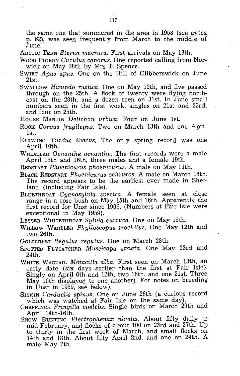the same one that summered in the area in 1958 (see *antea*  p. 62), was seen frequently from March to the middle of June.

ARCTIC TERN *Sterna macrura.* First arrivals on May 13th.

- WOOD PIGEON *Cuculus canorus.* One reported calling from Norwick on May 28th by Mrs T. Spence.
- SWIFT *Apus apus.* One on the Hill of Clibberswick on June 21st.
- SWALLOW *Hirundo rustica.* One on May 12th, and five passed through on the 25th. A flock of twenty were flying northeast on the 28th, and a dozen seen on 31st. In June small numbers seen in the first week, singles on 21st and 23rd, and four on 25th.
- HOUSE MARTIN *Delichon urbica.* Four on June 1st.
- Rook *Corvus frugilegus*. Two on March 13th and one April 1st.
- REDWING *Turdus iliacus.* The only spring record was one April 10th.
- WHEATEAR *Oenanthe oenanthe.* The first records were a male April 15th and 16th, three males and a female 19th.

REDSTART *Phoenicurus phoenicurus.* A male on May 11th.

- BLACK REDSTART *Phoenicurus ochruros.* A male on March 18th. The record appears to 'be the earliest ever made in Shetland (including Fair Isle).
- BLUETHROAT *Cyanosylvia svecica.* A female seen at close range in a rose bush on May 15th and 16th. Apparently the first record for Unst since 1906. (Numbers at Fair Isle were exceptional in May 1959).

LESSER WHITETHROAT *Sylvia curruca.* One on May 15th.

- WILLOW WARBLER *Phylloscopus trochilus.* One May 12th and two 26th.
- GOLDCREST *Regulus regulus.* One on March 28th.
- SPOTTED FLYCATCHER *Muscicapa striata.* One May 23rd and 24th.
- WHITE WAGTAIL *Motacilla alba.* First seen on March 13th, an early date (six days earlier than the first at Fair Isle). Singly on April 6th and 12th, two 16th, and one 21st. Three May 10th displayed to one another). For notes on breeding in Unst in 1959, see below).
- SrsKIN *Carduelis spinus.* One on June 26th (a curious record which was watched at Fair Isle on the same day).
- CHAFFINCH *Fringilla coelebs.* Single birds· on March 29th and April 14th-16th.
- SNOW BUNTING *Plectrophenax nivalis.* About fifty daily in mid-February, and flocks of about 100 on 23rd and 27th. Up to thirty in the first week of March, and small flocks on 14th and 18th. About fifty April 2nd, and one on 24th. A male May 7th.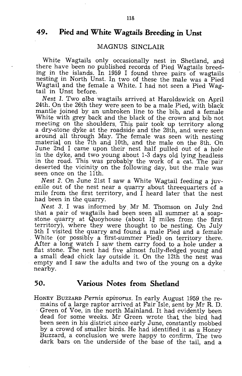### **49. Pied and White Wagtails Breeding in Unst**

#### MAGNUS SINCLAIR

White Wagtails only occasionally nest in Shetland, and there have been no published records of Pied Wagtails breeding in the islands. In 1959 I found three pairs of wagtails nesting in North Unst. In two of these the male was a Pied Wagtail and the female a White. I had not seen a Pied Wagtail in Unst before.

*Nest* 1. Two *alba* wagtails arrived at Haroldswick on April 24th. On the 26th they were seen to be a male Pied, with black mantle joined by an unbroken line to the bib, and a female White with grey back and the black of the crown and bib not meeting on the shoulders. This pair took up territory along a dry-stone dyke at the roadside and the 28th, and were seen around all through May. The female was seen with nesting material· on the 7th and 10th, and the male on the 8th. On June 2nd I came upon their nest half pulled out of a hole in the dyke, and two young about 1-3 days old lying headless in the road. This was probably the work of a cat. The pair deserted the vicinity on the following day, but the male was seen once on the 11th.

*Nest* 2. On June 21st I saw a White Wagtail feeding a juvenile out of the nest near a quarry about threequarters of a mile from the first territory, and I heard later that the nest had been in the quarry.

Nest 3. I was informed by Mr M. Thomson on July 2nd that a pair of wagtails had been seen all summer at a soapstone quarry at Quoyhouse (about  $1\frac{3}{4}$  miles from the first territory), where they were thought to be nesting. On July 5th I visited the quarry and found a male Pied and a female White (or possibly a first-summer Pied) on territory there. After a long watch I saw them carry food to a hole under a flat stone. The nest had five almost fully-fledged young and a small dead chick lay outside it. On the 12th the nest was empty and I saw the adults and two of the young on a dyke nearby.

#### **50. Various Notes from Shetland**

HONEY BUZZARD *Pernis apivorus.* In early August 1959 the remains of a large raptor arrived at Fair Isle, sent by Mr R. D. Green of Voe, in the north Mainland. It had evidently been dead for some weeks. Mr Green wrote that the bird had been seen in his district since early June, constantly mobbed by a crowd of smaller birds. He had identified it as a Honey Buzzard, a conclusion we were happy to confirm. The two dark bars on the underside of the base of the tail, and a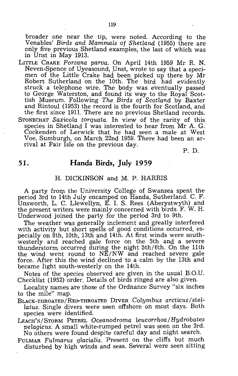broader one near the tip, were noted. According to the Venables' *Birds and Mammals of Shetland* (1955) there are only five previous Shetland examples, the last of which was in Unst in May 1913.

LITTLE CRAKE *Porzana parva.* On Aprii 14th 1959 Mr R. N. Neven-Spence of Uyeasound, Unst, wrote to say that a specimen of the Little Crake had been picked up there by Mr Robert Sutherland on the 10th. The bird had evidently struck a telephone wire. The body was eventually passed to George Waterston, and found its way to the Royal Scottish Museum. Following *The Birds of Scotland* by Baxter and Rintoul (1953) the record is the fourth for Scotland, and the first since 1911. There are no previous Shetland records. STONECHAT *Saxicola torquata.* In view of the rarity of this species in Shetland I was interested to hear from Mr A. G. Cockenden of Lerwick that he had seen a male at West Voe, Sumburgh, on March 22nd 1959. There had been an arrival at Fair Isle on the previous day.

P. D.

### **51. Handa Birds, July 1959**

#### H. DICKINSON and M. P. HARRIS

A party from the University College of Swansea spent the period 3rd to 14th July encamped on Handa, Sutherland. C. F. Unsworth, L. C. Llewellyn, E. I. S. Rees (Aberystwyth) and the present writers were mainly concerned with birds. F. W. H. Under wood joined the party for the period 3rd to 9th.

The weather was generally inclement and greatly interfered with activity but short spells of good conditions occurred, especially on 8th, 10th, 13th and 14th. At first winds were southwesterly and reached gale force on the 5th and a severe thunderstorm occurred during the night 5th/6th. On the 11th the wind went round to NE/NW and reached severe gale force. After this the wind declined to a calm by the 13th and became light south-westerly on the 14th.

Notes of the species observed are given in the usual B.O.U. Checklist (1952) order. Details of birds ringed are also given.

Locality names are those of the Ordnance Survey "six inches to the mile" map.

- BLACK-THROATED/RED-THROATED DIVER *Colymbus arcticus/ stellatus.* Single divers were seen offshore on most days. Both species were identified.
- LEACH'S/STORM PETREL *Oceanodroma leucorrhoa/Hydrobates pelagicus.* A small white-rumped petrel was seen on the 3rd. No others were found despite careful day and night search.
- FULMAR *Fulmarus glacialis.* Present on the cliffs but much disturbed by high winds and seas. Several were seen sitting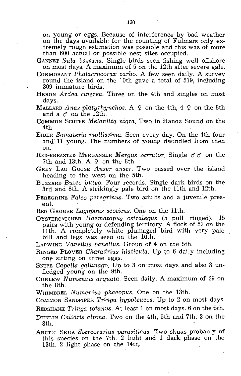on young or eggs. Because of interference by bad weather on the days available for the counting of Fulmars only extremely rough estimation was possible and this was of more than 600 actual or possible nest sites occupied.

GANNET *SuLa bassana.* Single birds seen fishing well offshore on most days. A maximum of 5 on the 12th after severe gale.

- CORMORANT *PhaLacrocorax carbo.* A few seen daily. A survey round the island on the 10th gave a total of 519, including 309 immature birds.
- HERON *Ardea cinerea.* Three on the 4th and singles on most days.
- MALLARD *Anas platyrhynchos.* A  $\varphi$  on the 4th, 4  $\varphi$  on the 8th and a  $\sigma$  on the 12th.
- COMMON SCOTER *Melanitta nigra.* Two in Handa Sound on the 4th. .
- EIDER *Somateria molLissima.* Seen every day. On the 4th four and 11 young. The numbers of young dwindled from then on.
- RED-BREASTED MERGANSER *Mergus serrutor.* Single cf cf on the 7th and 13th. A  $\varphi$  on the 8th.
- GREY LAG GOOSE Anser anser. Two passed over the island heading to the west on the 5th.
- BUZZARD *Buteo buteo.* Four records. Single dark birds on the 3rd and 8th. A strikingly pale bird on the 11th and 12th.
- PEREGRINE *Falco peregrinus*. Two adults and a juvenile present.
- RED GROUSE *Lagopous scoticus.* One on the 11th.
- OYSTERCATCHER *Haematopus ostralegus* (5 pull ringed). 15 pairs with young or defending territory. A flock of 52 on the 11th. A completely white plumaged bird with very pale bill and legs was seen on the 10th.

LAPWING *Vanellus vanellus.* Group of 4 on the 5th.

RINGED PLOVER *Charadrius hiaticula.* Up to 6 daily including one sitting on three eggs.

SNIPE *Capella gallinago*. Up to 3 on most days and also 3 unfledged young on the 9th.

CURLEW *Numenius arquata.* Seen daily. A maximum of 29 on the 8th.

WHIMBREL *Numenius phaeopus.* One on the 13th.

COMMON SANDPIPER *Tringa l),ypoleucos.* Up to 2 on most days.

REDS HANK *Tringa totanus.* At least 1 on most days. 6 on the 5th.

DUNLIN *Calidris alpina.* Two on the 4th, 5th and 7th. 3 on the 8th.

ARCTIC SKUA *Stercorarius parasiticus.* Two skuas probably of this species on the 7th. 2 light and 1 dark phase on the 13th. 2 light phase on the 14th.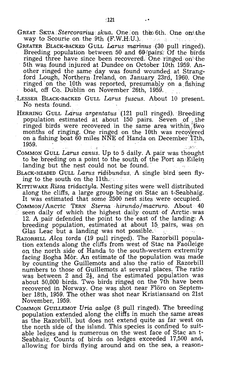- GREAT SKUA Stercorarius skua. One on the 6th. One on the way to Scourie on the 9th (F.W.H.U.). The second
- GREATER BLACK-BACKED GULL *Larus marinus* (30 pull ringed). Breeding population between 50 and 60 pairs. Of the birds ringed three have since been recovered. One ringed on the 5th was found injured at Dundee on October 10th 1959. Another ringed the same day was found wounded at Strangford Lough, Northern Ireland, on January 23rd, 1960. One ringed on the 10th was reported, presumably on a fishing hoat, off Co., Dublin on November 26th, 1959.
- LESSER BLACK-BACKED GULL *Larus fuscus.* About 10 present. No nests found.
- HERRING GULL *Larus argentatus(121* pull ringed). Breeding population estimated at about 150 pairs. Seven of the ringed birds were recovered in the same area within two months of ringing. One ringed on the 10th was recovered on a fishing boat 60 miles NNE of Handa on December 17th, 1959. 1959. ' i' ".Jr','.
- COMMON GULL *Larus canus*. Up to 5 daily. A pair was thought to be breeding on a point to the south of the Port an  $Eilein$ landing but the nest could not be found.
- BLACK-HEADED GULL *Larus ridibundus.'* A single bird seen flying to the south on the  $11th$ .
- KITTIWAKE *Rissa tridactula*. Nesting sites were well distributed along the cliffs, a large group being on Stac an t-Seabhaig. It was estimated that some 2500 nest sites were occupied.
- COMMON/ ARCTIC TERN *Sterna hirundo/maeturo.* About 40 seen daily of which the highest daily count of Arctic was 12. A pair defended the point to the east of the landing, A breeding population, estimated at about 15, pairs, was pn Glas Leac but a landing was not possible.
- RAZORBILL *Alca torda* (19 pull ringed). The Razorbill population extends along the cliffs from west of Stac na Faoileige on the north side of Handa to the south-western extremity facing Bogha Mor. An estimate of the population was made by counting the Guillemots and also the ratio of Razorbill numbers to those of Guillemots at several places. The ratio was between 2 and  $2\frac{1}{2}$ , and the estimated population was about 50,000 birds. Two birds ringed on the 7th have been recovered in Norway. One was shot near Flöro on September 18th, 1959. The other was shot near Kristiansand on 21st November, 1959.
- COMMON GUILLEMOT *Uria aalge* (8 pull ringed). The breeding population extended along the cliffs in much the same areas as the Razorbill, but does not extend quite as far west on the north side of the island. This species is confined to suitable ledges and is numerous on the west face of Stac an t-Seabhaig. Counts of birds on ledges exceeded 17,500 and, allowing for birds flying around and on the sea, a reason-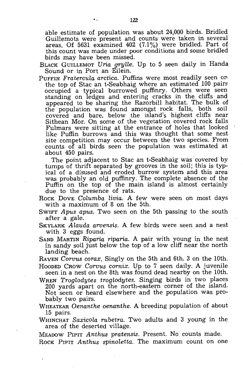able estimate of population was about 24,000 birds. Bridled Guillemots were present and counts were taken in several areas. Of 5631 examined 402 (7.1%) were bridled. Part of this count was made under poor conditions and some bridled birds may have been missed.

- BLACK GUILLEMOT *Dria grylle.* Up to 5 seen daily in Handa Sound or in Port an Eilein.
- PUFFIN *Fratercula arctica*. Puffins were most readily seen on the top of Stac an t-Seabhaig where an estimated 100 pairs occupied a typical burrowed puffihry. Others were seen standing on ledges and entering cracks in the cliffs and appeared to 'be sharing the Razorbill habitat. The bulk of the population was found amongst rock falls, both soil covered and bare, below the island's highest cliffs near Sithean Mor. On some of the vegetation covered rock falls Fulmars were sitting at the entrance of holes that looked like Puffin burrows and this was thought that some nest site competition may occur between the two species. From counts of all birds seen the population was estimated at about 450 pairs.

The point adjacent to Stac an t-Seabhaig was covered by tumps of thrift separated 'by grooves in the soil; this is typical of a disused and eroded burrow system and this area was probably an old puffinry. The complete absence of the Puffin on the top of the main island is almost certainly due to the presence of rats.

Rock Dove *Columba livia.* A few were seen on most days with a maximum of 8 on the 5th.

- SWIFT *Apus apus.* Two seen on the 5th passing to the south after a gale.
- SKYLARK *Alauda arvensis.* A few birds were seen and a nest with 3 eggs found.
- SAND MARTIN *Riparia riparia.* A pair with young in the nest in sandy soil just below the top of a low cliff near the north landing beach.

RAVEN *Corvus corax.* Singly on the 5th and 6th. 3 on the 10th.

- HOODED CROW *Corvus cornix.* Up to 7 seen daily. A juvenile seen in a nest on the 8th was found dead nearby on the 10th.
- WREN *Troglodytes troglodytes.* Singing birds in two places 200 yards apart on the north-eastern corner of the island. Not seen or heard elsewhere and the population was probably two pairs.
- WHEATEAR *Oenanthe oenanthe.* A breeding population of about 15 pairs.
- WHIN CHAT *Saxicola rubetra.* Two adults and 3 young in the area of the deserted village.

MEADOW PIPIT *Anthus pratensis.* Present. No counts made. ROCK PIPIT Anthus spinoletta. The maximum count on one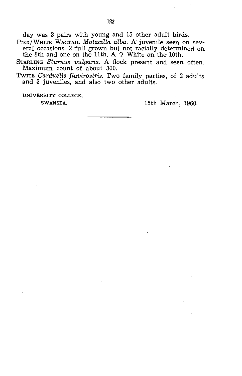day was 3 pairs with young and 15 other adult birds.

PIED/WHITE WAGTAIL *Motacilla alba.* A juvenile seen on several occasions. 2 full grown but not racially determined on the 8th and one on the 11th.  $A \varphi$  White on the 10th.

STARLING *Sturnus vulgaris*. A flock present and seen often. Maximum count of about 300.

TWITE *Carduelis flavirostris.* Two family parties, of 2 adults and 3 juveniles, and also two other adults.

UNIVERSITY COLLEGE,

SWANSEA. 15th March, 1960.